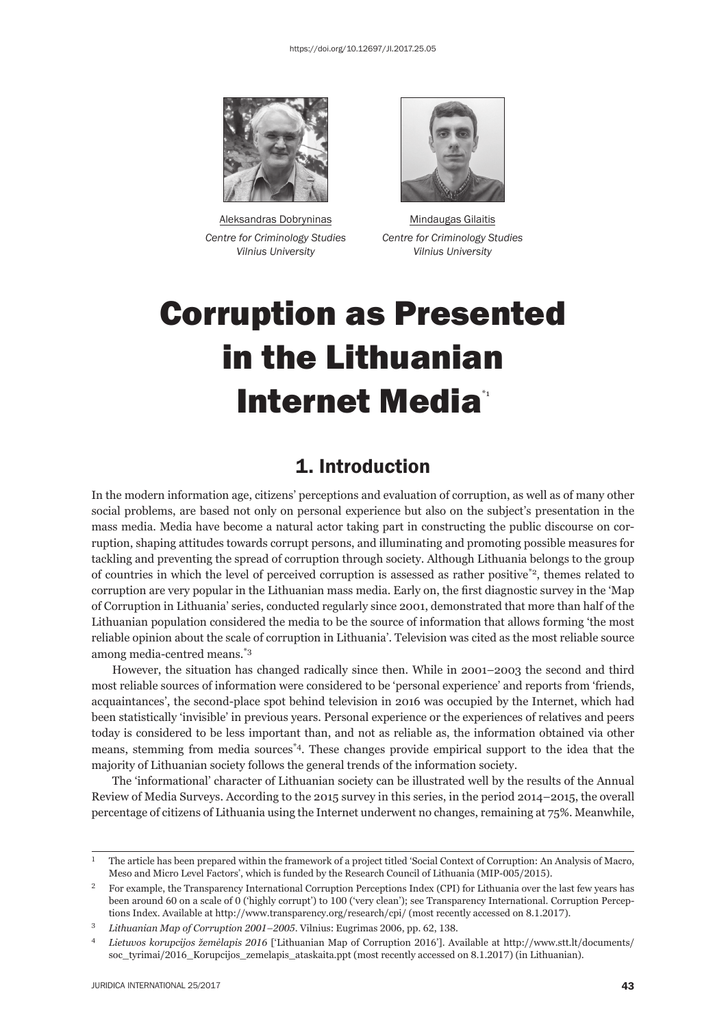

Aleksandras Dobryninas **Mindaugas Gilaitis** 



*Centre for Criminology Studies Centre for Criminology Studies Vilnius University Vilnius University*

# Corruption as Presented in the Lithuanian **Internet Media\***

## 1. Introduction

In the modern information age, citizens' perceptions and evaluation of corruption, as well as of many other social problems, are based not only on personal experience but also on the subject's presentation in the mass media. Media have become a natural actor taking part in constructing the public discourse on corruption, shaping attitudes towards corrupt persons, and illuminating and promoting possible measures for tackling and preventing the spread of corruption through society. Although Lithuania belongs to the group of countries in which the level of perceived corruption is assessed as rather positive\*2, themes related to corruption are very popular in the Lithuanian mass media. Early on, the first diagnostic survey in the 'Map of Corruption in Lithuania' series, conducted regularly since 2001, demonstrated that more than half of the Lithuanian population considered the media to be the source of information that allows forming 'the most reliable opinion about the scale of corruption in Lithuania'. Television was cited as the most reliable source among media-centred means.\*3

However, the situation has changed radically since then. While in 2001–2003 the second and third most reliable sources of information were considered to be 'personal experience' and reports from 'friends, acquaintances', the second-place spot behind television in 2016 was occupied by the Internet, which had been statistically 'invisible' in previous years. Personal experience or the experiences of relatives and peers today is considered to be less important than, and not as reliable as, the information obtained via other means, stemming from media sources\*4. These changes provide empirical support to the idea that the majority of Lithuanian society follows the general trends of the information society.

The 'informational' character of Lithuanian society can be illustrated well by the results of the Annual Review of Media Surveys. According to the 2015 survey in this series, in the period 2014–2015, the overall percentage of citizens of Lithuania using the Internet underwent no changes, remaining at 75%. Meanwhile,

<sup>&</sup>lt;sup>1</sup> The article has been prepared within the framework of a project titled 'Social Context of Corruption: An Analysis of Macro, Meso and Micro Level Factors', which is funded by the Research Council of Lithuania (MIP-005/2015).

<sup>&</sup>lt;sup>2</sup> For example, the Transparency International Corruption Perceptions Index (CPI) for Lithuania over the last few years has been around 60 on a scale of 0 ('highly corrupt') to 100 ('very clean'); see Transparency International. Corruption Perceptions Index. Available at http://www.transparency.org/research/cpi/ (most recently accessed on 8.1.2017).

<sup>&</sup>lt;sup>3</sup> *Lithuanian Map of Corruption 2001-2005.* Vilnius: Eugrimas 2006, pp. 62, 138.

<sup>ɵ</sup> *Lietuvos korupcijos žemėlapis ɳɱɲɷ* ['Lithuanian Map of Corruption ɳɱɲɷ']. Available at http://www.stt.lt/documents/ soc\_tyrimai/2016\_Korupcijos\_zemelapis\_ataskaita.ppt (most recently accessed on 8.1.2017) (in Lithuanian).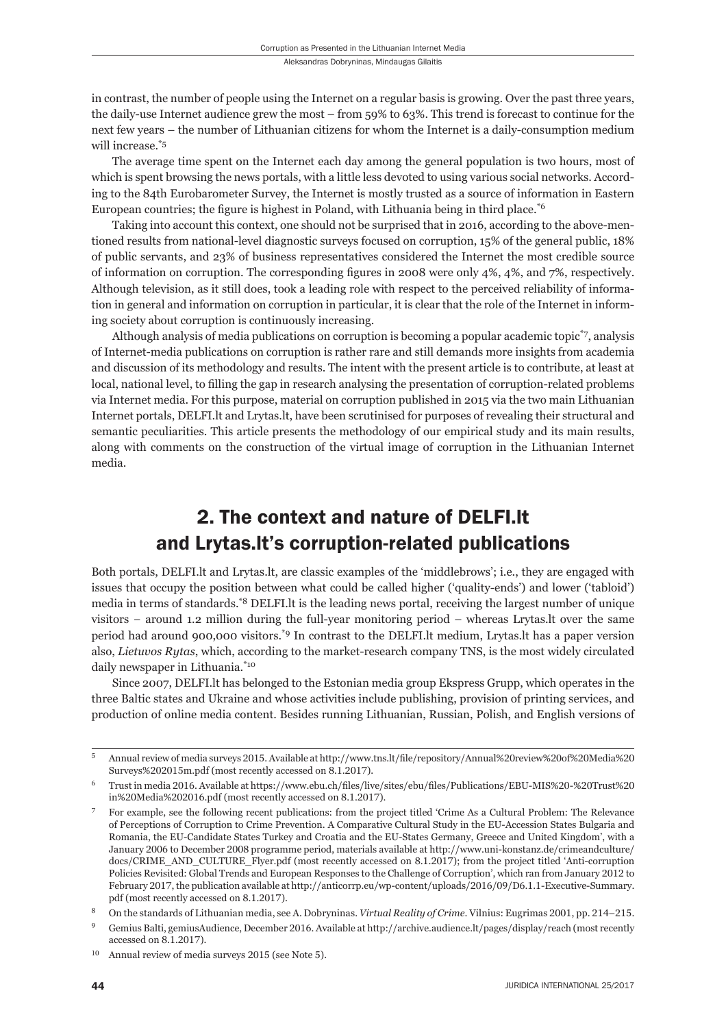in contrast, the number of people using the Internet on a regular basis is growing. Over the past three years, the daily-use Internet audience grew the most – from 59% to 63%. This trend is forecast to continue for the next few years – the number of Lithuanian citizens for whom the Internet is a daily-consumption medium will increase.<sup>\*5</sup>

The average time spent on the Internet each day among the general population is two hours, most of which is spent browsing the news portals, with a little less devoted to using various social networks. According to the 84th Eurobarometer Survey, the Internet is mostly trusted as a source of information in Eastern European countries; the figure is highest in Poland, with Lithuania being in third place.<sup>\*6</sup>

Taking into account this context, one should not be surprised that in 2016, according to the above-mentioned results from national-level diagnostic surveys focused on corruption, 15% of the general public, 18% of public servants, and 23% of business representatives considered the Internet the most credible source of information on corruption. The corresponding figures in 2008 were only  $4\%$ ,  $4\%$ , and  $7\%$ , respectively. Although television, as it still does, took a leading role with respect to the perceived reliability of information in general and information on corruption in particular, it is clear that the role of the Internet in informing society about corruption is continuously increasing.

Although analysis of media publications on corruption is becoming a popular academic topic\*7, analysis of Internet-media publications on corruption is rather rare and still demands more insights from academia and discussion of its methodology and results. The intent with the present article is to contribute, at least at local, national level, to filling the gap in research analysing the presentation of corruption-related problems via Internet media. For this purpose, material on corruption published in 2015 via the two main Lithuanian Internet portals, DELFI.lt and Lrytas.lt, have been scrutinised for purposes of revealing their structural and semantic peculiarities. This article presents the methodology of our empirical study and its main results, along with comments on the construction of the virtual image of corruption in the Lithuanian Internet media.

# 2. The context and nature of DELFI.lt and Lrytas.lt's corruption-related publications

Both portals, DELFI.lt and Lrytas.lt, are classic examples of the 'middlebrows'; i.e., they are engaged with issues that occupy the position between what could be called higher ('quality-ends') and lower ('tabloid') media in terms of standards.\*8 DELFI.lt is the leading news portal, receiving the largest number of unique visitors − around 1.2 million during the full-year monitoring period – whereas Lrytas.lt over the same period had around 900,000 visitors.\*9 In contrast to the DELFI.lt medium, Lrytas.lt has a paper version also, *Lietuvos Rytas*, which, according to the market-research company TNS, is the most widely circulated daily newspaper in Lithuania.\*10

Since 2007, DELFI.lt has belonged to the Estonian media group Ekspress Grupp, which operates in the three Baltic states and Ukraine and whose activities include publishing, provision of printing services, and production of online media content. Besides running Lithuanian, Russian, Polish, and English versions of

<sup>5</sup> Annual review of media surveys 2015. Available at http://www.tns.lt/file/repository/Annual%20review%20of%20Media%20 Surveys%202015m.pdf (most recently accessed on 8.1.2017).

 $6$  Trust in media 2016. Available at https://www.ebu.ch/files/live/sites/ebu/files/Publications/EBU-MIS%20-%20Trust%20 in%20Media%202016.pdf (most recently accessed on 8.1.2017).

<sup>ɸ</sup> For example, see the following recent publications: from the project titled 'Crime As a Cultural Problem: The Relevance of Perceptions of Corruption to Crime Prevention. A Comparative Cultural Study in the EU-Accession States Bulgaria and Romania, the EU-Candidate States Turkey and Croatia and the EU-States Germany, Greece and United Kingdom', with a January 2006 to December 2008 programme period, materials available at http://www.uni-konstanz.de/crimeandculture/ docs/CRIME\_AND\_CULTURE\_Flyer.pdf (most recently accessed on 8.1.2017); from the project titled 'Anti-corruption Policies Revisited: Global Trends and European Responses to the Challenge of Corruption', which ran from January 2012 to February 2017, the publication available at http://anticorrp.eu/wp-content/uploads/2016/09/D6.1.1-Executive-Summary. pdf (most recently accessed on 8.1.2017).

On the standards of Lithuanian media, see A. Dobryninas. *Virtual Reality of Crime*. Vilnius: Eugrimas 2001, pp. 214-215.

Gemius Balti, gemiusAudience, December 2016. Available at http://archive.audience.lt/pages/display/reach (most recently accessed on 8.1.2017).

 $^{10}$  Annual review of media surveys 2015 (see Note 5).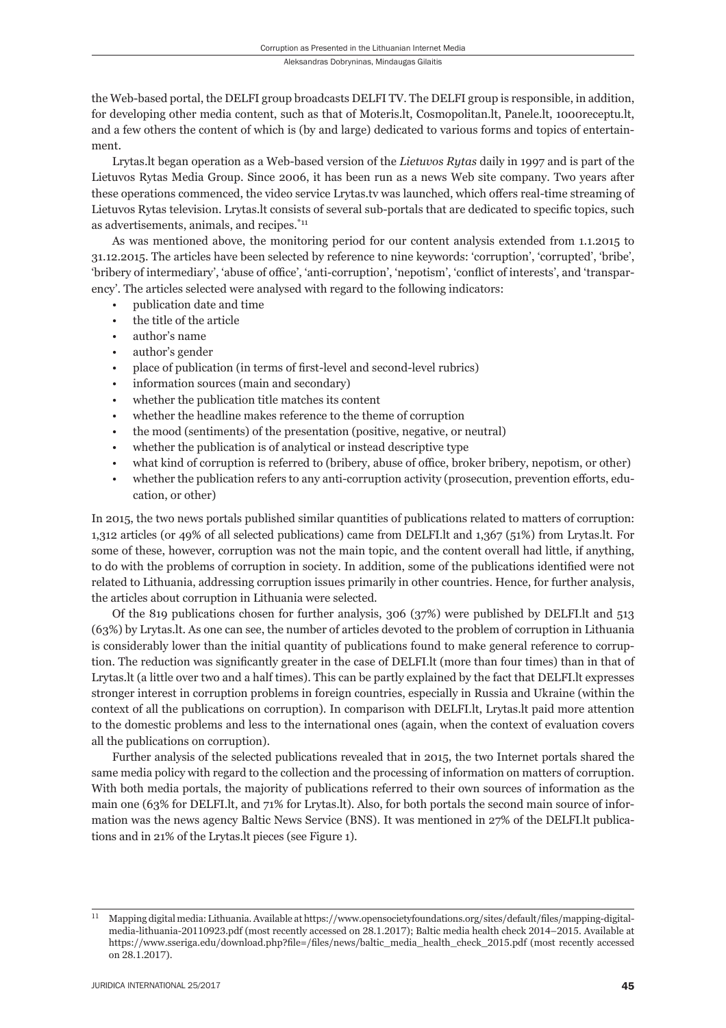the Web-based portal, the DELFI group broadcasts DELFI TV. The DELFI group is responsible, in addition, for developing other media content, such as that of Moteris.lt, Cosmopolitan.lt, Panele.lt, 1000receptu.lt, and a few others the content of which is (by and large) dedicated to various forms and topics of entertainment.

Lrytas.lt began operation as a Web-based version of the *Lietuvos Rytas* daily in 1997 and is part of the Lietuvos Rytas Media Group. Since 2006, it has been run as a news Web site company. Two years after these operations commenced, the video service Lrytas.tv was launched, which offers real-time streaming of Lietuvos Rytas television. Lrytas.lt consists of several sub-portals that are dedicated to specific topics, such as advertisements, animals, and recipes.\*11

As was mentioned above, the monitoring period for our content analysis extended from 1.1.2015 to 31.12.2015. The articles have been selected by reference to nine keywords: 'corruption', 'corrupted', 'bribe', 'bribery of intermediary', 'abuse of office', 'anti-corruption', 'nepotism', 'conflict of interests', and 'transparency'. The articles selected were analysed with regard to the following indicators:

- publication date and time
- the title of the article
- author's name
- author's gender
- place of publication (in terms of first-level and second-level rubrics)
- information sources (main and secondary)
- whether the publication title matches its content
- whether the headline makes reference to the theme of corruption
- the mood (sentiments) of the presentation (positive, negative, or neutral)
- whether the publication is of analytical or instead descriptive type
- what kind of corruption is referred to (bribery, abuse of office, broker bribery, nepotism, or other)
- whether the publication refers to any anti-corruption activity (prosecution, prevention efforts, education, or other)

In 2015, the two news portals published similar quantities of publications related to matters of corruption: 1,312 articles (or 49% of all selected publications) came from DELFI.lt and 1,367 (51%) from Lrytas.lt. For some of these, however, corruption was not the main topic, and the content overall had little, if anything, to do with the problems of corruption in society. In addition, some of the publications identified were not related to Lithuania, addressing corruption issues primarily in other countries. Hence, for further analysis, the articles about corruption in Lithuania were selected.

Of the 819 publications chosen for further analysis, 306 (37%) were published by DELFI.lt and 513 (63%) by Lrytas.lt. As one can see, the number of articles devoted to the problem of corruption in Lithuania is considerably lower than the initial quantity of publications found to make general reference to corruption. The reduction was significantly greater in the case of DELFI. It (more than four times) than in that of Lrytas.lt (a little over two and a half times). This can be partly explained by the fact that DELFI.lt expresses stronger interest in corruption problems in foreign countries, especially in Russia and Ukraine (within the context of all the publications on corruption). In comparison with DELFI.lt, Lrytas.lt paid more attention to the domestic problems and less to the international ones (again, when the context of evaluation covers all the publications on corruption).

Further analysis of the selected publications revealed that in 2015, the two Internet portals shared the same media policy with regard to the collection and the processing of information on matters of corruption. With both media portals, the majority of publications referred to their own sources of information as the main one (63% for DELFI.lt, and 71% for Lrytas.lt). Also, for both portals the second main source of information was the news agency Baltic News Service (BNS). It was mentioned in 27% of the DELFI.lt publications and in 21% of the Lrytas.lt pieces (see Figure 1).

 $^{11}$  Mapping digital media: Lithuania. Available at https://www.opensocietyfoundations.org/sites/default/files/mapping-digitalmedia-lithuania-20110923.pdf (most recently accessed on 28.1.2017); Baltic media health check 2014-2015. Available at https://www.sseriga.edu/download.php?file=/files/news/baltic\_media\_health\_check\_2015.pdf (most recently accessed on 28.1.2017).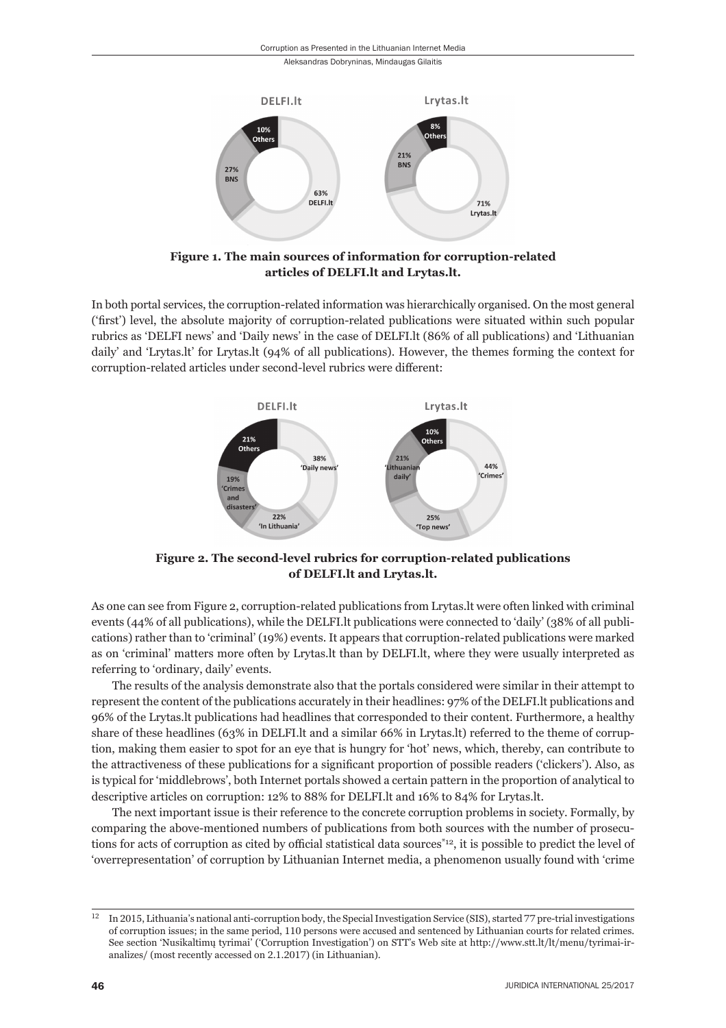

**Figure 1. The main sources of information for corruption-related articles of DELFI.lt and Lrytas.lt.**

In both portal services, the corruption-related information was hierarchically organised. On the most general ('first') level, the absolute majority of corruption-related publications were situated within such popular rubrics as 'DELFI news' and 'Daily news' in the case of DELFI. It (86% of all publications) and 'Lithuanian daily' and 'Lrytas.lt' for Lrytas.lt (94% of all publications). However, the themes forming the context for corruption-related articles under second-level rubrics were different:



**Figure 2. The second-level rubrics for corruption-related publications of DELFI.lt and Lrytas.lt.**

As one can see from Figure 2, corruption-related publications from Lrytas.lt were often linked with criminal events (44% of all publications), while the DELFI.lt publications were connected to 'daily' (38% of all publications) rather than to 'criminal' (19%) events. It appears that corruption-related publications were marked as on 'criminal' matters more often by Lrytas.lt than by DELFI.lt, where they were usually interpreted as referring to 'ordinary, daily' events.

The results of the analysis demonstrate also that the portals considered were similar in their attempt to represent the content of the publications accurately in their headlines: 97% of the DELFI.lt publications and 96% of the Lrytas.lt publications had headlines that corresponded to their content. Furthermore, a healthy share of these headlines (63% in DELFI.lt and a similar 66% in Lrytas.lt) referred to the theme of corruption, making them easier to spot for an eye that is hungry for 'hot' news, which, thereby, can contribute to the attractiveness of these publications for a significant proportion of possible readers ('clickers'). Also, as is typical for 'middlebrows', both Internet portals showed a certain pattern in the proportion of analytical to descriptive articles on corruption: 12% to 88% for DELFI.lt and 16% to 84% for Lrytas.lt.

The next important issue is their reference to the concrete corruption problems in society. Formally, by comparing the above-mentioned numbers of publications from both sources with the number of prosecutions for acts of corruption as cited by official statistical data sources<sup>\*12</sup>, it is possible to predict the level of 'overrepresentation' of corruption by Lithuanian Internet media, a phenomenon usually found with 'crime

 $^{12}$  In 2015, Lithuania's national anti-corruption body, the Special Investigation Service (SIS), started  $77$  pre-trial investigations of corruption issues; in the same period, 110 persons were accused and sentenced by Lithuanian courts for related crimes. See section 'Nusikaltimų tyrimai' ('Corruption Investigation') on STT's Web site at http://www.stt.lt/lt/menu/tyrimai-iranalizes/ (most recently accessed on 2.1.2017) (in Lithuanian).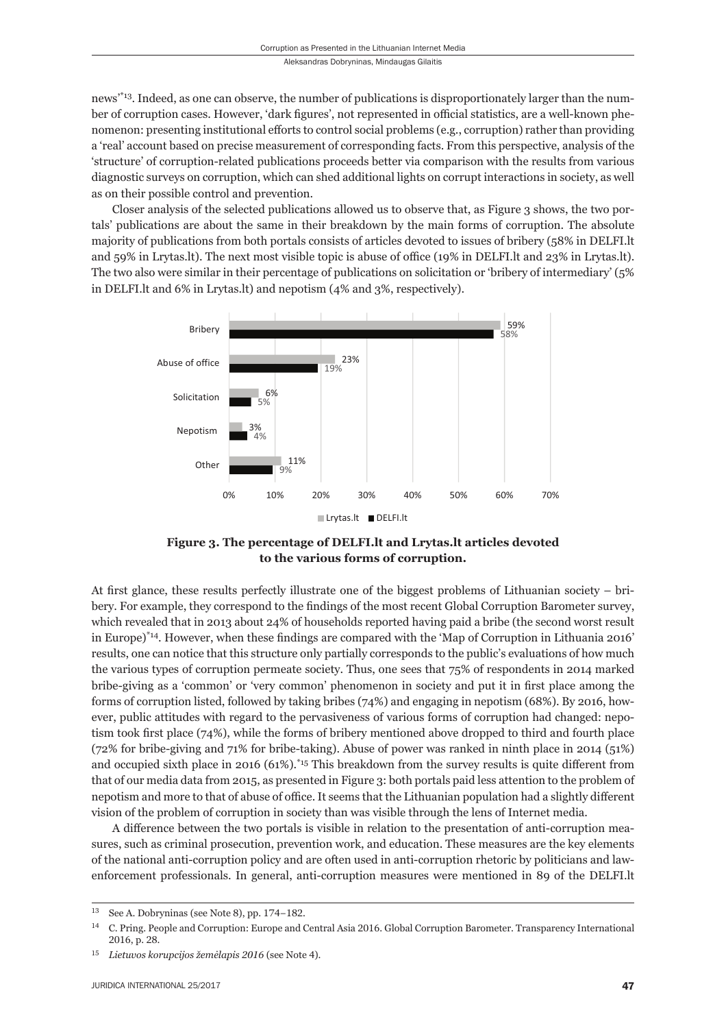news'\*13. Indeed, as one can observe, the number of publications is disproportionately larger than the number of corruption cases. However, 'dark figures', not represented in official statistics, are a well-known phenomenon: presenting institutional efforts to control social problems (e.g., corruption) rather than providing a 'real' account based on precise measurement of corresponding facts. From this perspective, analysis of the 'structure' of corruption-related publications proceeds better via comparison with the results from various diagnostic surveys on corruption, which can shed additional lights on corrupt interactions in society, as well as on their possible control and prevention.

Closer analysis of the selected publications allowed us to observe that, as Figure 3 shows, the two portals' publications are about the same in their breakdown by the main forms of corruption. The absolute majority of publications from both portals consists of articles devoted to issues of bribery (58% in DELFI.lt and  $59\%$  in Lrytas.lt). The next most visible topic is abuse of office (19% in DELFI. It and 23% in Lrytas.lt). The two also were similar in their percentage of publications on solicitation or 'bribery of intermediary' (5% in DELFI.lt and 6% in Lrytas.lt) and nepotism (4% and 3%, respectively).



**Figure 3. The percentage of DELFI.lt and Lrytas.lt articles devoted to the various forms of corruption.**

At first glance, these results perfectly illustrate one of the biggest problems of Lithuanian society – bribery. For example, they correspond to the findings of the most recent Global Corruption Barometer survey, which revealed that in 2013 about 24% of households reported having paid a bribe (the second worst result in Europe) $*14$ . However, when these findings are compared with the 'Map of Corruption in Lithuania 2016' results, one can notice that this structure only partially corresponds to the public's evaluations of how much the various types of corruption permeate society. Thus, one sees that 75% of respondents in 2014 marked bribe-giving as a 'common' or 'very common' phenomenon in society and put it in first place among the forms of corruption listed, followed by taking bribes (74%) and engaging in nepotism (68%). By 2016, however, public attitudes with regard to the pervasiveness of various forms of corruption had changed: nepotism took first place  $(74%)$ , while the forms of bribery mentioned above dropped to third and fourth place (72% for bribe-giving and 71% for bribe-taking). Abuse of power was ranked in ninth place in 2014 (51%) and occupied sixth place in 2016 (61%).<sup>\*15</sup> This breakdown from the survey results is quite different from that of our media data from 2015, as presented in Figure 3: both portals paid less attention to the problem of nepotism and more to that of abuse of office. It seems that the Lithuanian population had a slightly different vision of the problem of corruption in society than was visible through the lens of Internet media.

A difference between the two portals is visible in relation to the presentation of anti-corruption measures, such as criminal prosecution, prevention work, and education. These measures are the key elements of the national anti-corruption policy and are often used in anti-corruption rhetoric by politicians and lawenforcement professionals. In general, anti-corruption measures were mentioned in 89 of the DELFI.lt

<sup>&</sup>lt;sup>13</sup> See A. Dobryninas (see Note 8), pp. 174−182.

<sup>&</sup>lt;sup>14</sup> C. Pring. People and Corruption: Europe and Central Asia 2016. Global Corruption Barometer. Transparency International 2016, p. 28.

<sup>&</sup>lt;sup>15</sup> Lietuvos korupcijos žemėlapis 2016 (see Note 4).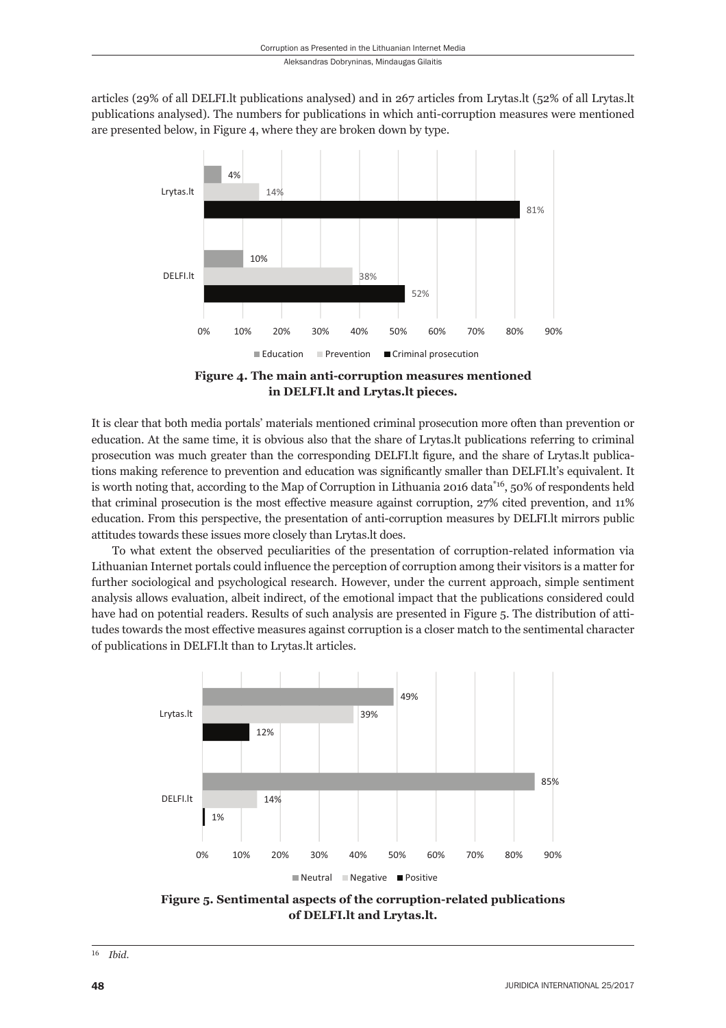articles (29% of all DELFI.lt publications analysed) and in 267 articles from Lrytas.lt (52% of all Lrytas.lt publications analysed). The numbers for publications in which anti-corruption measures were mentioned are presented below, in Figure 4, where they are broken down by type.



**Figure 4. The main anti-corruption measures mentioned in DELFI.lt and Lrytas.lt pieces.**

It is clear that both media portals' materials mentioned criminal prosecution more often than prevention or education. At the same time, it is obvious also that the share of Lrytas.lt publications referring to criminal prosecution was much greater than the corresponding DELFI. It figure, and the share of Lrytas. It publications making reference to prevention and education was significantly smaller than DELFI.lt's equivalent. It is worth noting that, according to the Map of Corruption in Lithuania 2016 data\*<sup>16</sup>, 50% of respondents held that criminal prosecution is the most effective measure against corruption, 27% cited prevention, and 11% education. From this perspective, the presentation of anti-corruption measures by DELFI. It mirrors public attitudes towards these issues more closely than Lrytas.lt does.

To what extent the observed peculiarities of the presentation of corruption-related information via Lithuanian Internet portals could influence the perception of corruption among their visitors is a matter for further sociological and psychological research. However, under the current approach, simple sentiment analysis allows evaluation, albeit indirect, of the emotional impact that the publications considered could have had on potential readers. Results of such analysis are presented in Figure 5. The distribution of attitudes towards the most effective measures against corruption is a closer match to the sentimental character of publications in DELFI.lt than to Lrytas.lt articles.



**Figure 5. Sentimental aspects of the corruption-related publications of DELFI.lt and Lrytas.lt.**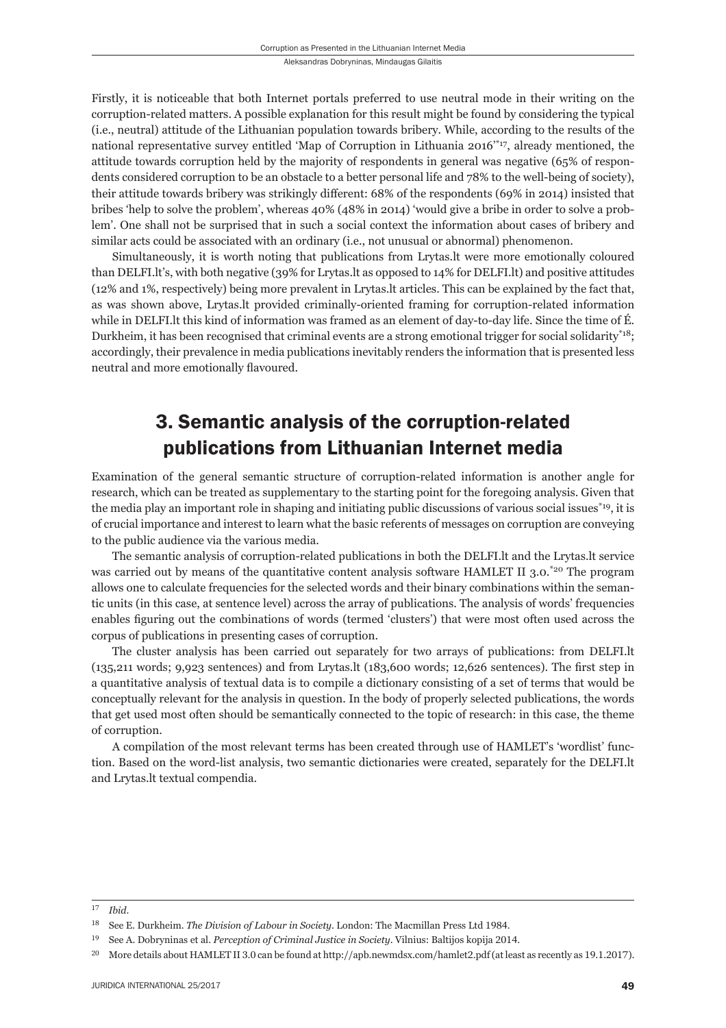Firstly, it is noticeable that both Internet portals preferred to use neutral mode in their writing on the corruption-related matters. A possible explanation for this result might be found by considering the typical (i.e., neutral) attitude of the Lithuanian population towards bribery. While, according to the results of the national representative survey entitled 'Map of Corruption in Lithuania 2016'\*17, already mentioned, the attitude towards corruption held by the majority of respondents in general was negative (65% of respondents considered corruption to be an obstacle to a better personal life and 78% to the well-being of society), their attitude towards bribery was strikingly different: 68% of the respondents (69% in 2014) insisted that bribes 'help to solve the problem', whereas 40% (48% in 2014) 'would give a bribe in order to solve a problem'. One shall not be surprised that in such a social context the information about cases of bribery and similar acts could be associated with an ordinary (i.e., not unusual or abnormal) phenomenon.

Simultaneously, it is worth noting that publications from Lrytas.lt were more emotionally coloured than DELFI.lt's, with both negative (39% for Lrytas.lt as opposed to 14% for DELFI.lt) and positive attitudes (12% and 1%, respectively) being more prevalent in Lrytas.lt articles. This can be explained by the fact that, as was shown above, Lrytas.lt provided criminally-oriented framing for corruption-related information while in DELFI.lt this kind of information was framed as an element of day-to-day life. Since the time of É. Durkheim, it has been recognised that criminal events are a strong emotional trigger for social solidarity\*18; accordingly, their prevalence in media publications inevitably renders the information that is presented less neutral and more emotionally flavoured.

# 3. Semantic analysis of the corruption-related publications from Lithuanian Internet media

Examination of the general semantic structure of corruption-related information is another angle for research, which can be treated as supplementary to the starting point for the foregoing analysis. Given that the media play an important role in shaping and initiating public discussions of various social issues<sup>\*19</sup>, it is of crucial importance and interest to learn what the basic referents of messages on corruption are conveying to the public audience via the various media.

The semantic analysis of corruption-related publications in both the DELFI.lt and the Lrytas.lt service was carried out by means of the quantitative content analysis software HAMLET II 3.0.<sup>\*20</sup> The program allows one to calculate frequencies for the selected words and their binary combinations within the semantic units (in this case, at sentence level) across the array of publications. The analysis of words' frequencies enables figuring out the combinations of words (termed 'clusters') that were most often used across the corpus of publications in presenting cases of corruption.

The cluster analysis has been carried out separately for two arrays of publications: from DELFI.lt  $(135,211 \text{ words}; 9,923 \text{ sentences})$  and from Lrytas.lt  $(183,600 \text{ words}; 12,626 \text{ sentences})$ . The first step in a quantitative analysis of textual data is to compile a dictionary consisting of a set of terms that would be conceptually relevant for the analysis in question. In the body of properly selected publications, the words that get used most often should be semantically connected to the topic of research: in this case, the theme of corruption.

A compilation of the most relevant terms has been created through use of HAMLET's 'wordlist' function. Based on the word-list analysis, two semantic dictionaries were created, separately for the DELFI.lt and Lrytas.lt textual compendia.

ɲɸ *Ibid*.

<sup>&</sup>lt;sup>18</sup> See E. Durkheim. *The Division of Labour in Society*. London: The Macmillan Press Ltd 1984.

<sup>&</sup>lt;sup>19</sup> See A. Dobryninas et al. *Perception of Criminal Justice in Society*. Vilnius: Baltijos kopija 2014.

<sup>&</sup>lt;sup>20</sup> More details about HAMLET II 3.0 can be found at http://apb.newmdsx.com/hamlet2.pdf (at least as recently as 19.1.2017).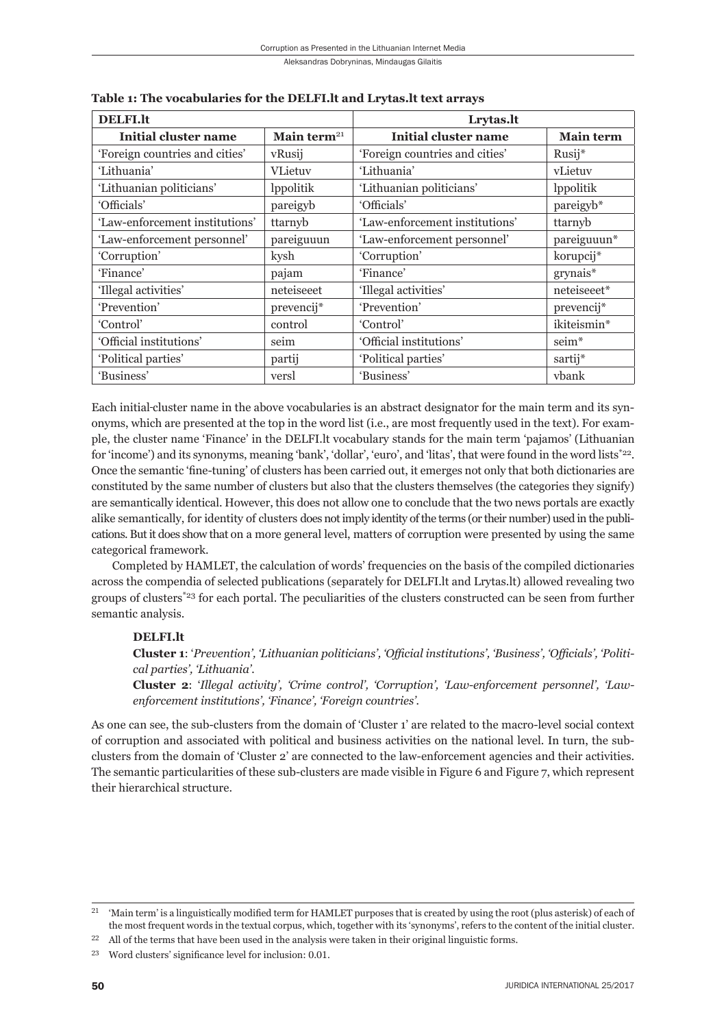| <b>DELFI.lt</b>                |                | Lrytas.lt                      |                   |  |
|--------------------------------|----------------|--------------------------------|-------------------|--|
| Initial cluster name           | Main term $21$ | Initial cluster name           | <b>Main term</b>  |  |
| 'Foreign countries and cities' | vRusij         | 'Foreign countries and cities' | Rusij*            |  |
| 'Lithuania'                    | <b>VLietuv</b> | 'Lithuania'                    | vLietuv           |  |
| 'Lithuanian politicians'       | lppolitik      | 'Lithuanian politicians'       | lppolitik         |  |
| 'Officials'                    | pareigyb       | 'Officials'                    | pareigyb*         |  |
| 'Law-enforcement institutions' | ttarnyb        | 'Law-enforcement institutions' | ttarnyb           |  |
| 'Law-enforcement personnel'    | pareiguuun     | 'Law-enforcement personnel'    | pareiguuun*       |  |
| 'Corruption'                   | kysh           | 'Corruption'                   | korupcij*         |  |
| 'Finance'                      | pajam          | 'Finance'                      | $grynais*$        |  |
| 'Illegal activities'           | neteiseeet     | 'Illegal activities'           | neteiseeet*       |  |
| 'Prevention'                   | prevencij*     | 'Prevention'                   | prevencij*        |  |
| 'Control'                      | control        | 'Control'                      | ikiteismin*       |  |
| 'Official institutions'        | seim           | 'Official institutions'        | seim <sup>*</sup> |  |
| 'Political parties'            | partij         | 'Political parties'            | sartij*           |  |
| 'Business'                     | versl          | 'Business'                     | ybank             |  |

**Table 1: The vocabularies for the DELFI.lt and Lrytas.lt text arrays**

Each initial cluster name in the above vocabularies is an abstract designator for the main term and its synonyms, which are presented at the top in the word list (i.e., are most frequently used in the text). For example, the cluster name 'Finance' in the DELFI.lt vocabulary stands for the main term 'pajamos' (Lithuanian for 'income') and its synonyms, meaning 'bank', 'dollar', 'euro', and 'litas', that were found in the word lists\*22. Once the semantic 'fine-tuning' of clusters has been carried out, it emerges not only that both dictionaries are constituted by the same number of clusters but also that the clusters themselves (the categories they signify) are semantically identical. However, this does not allow one to conclude that the two news portals are exactly alike semantically, for identity of clusters does not imply identity of the terms (or their number) used in the publications. But it does show that on a more general level, matters of corruption were presented by using the same categorical framework.

Completed by HAMLET, the calculation of words' frequencies on the basis of the compiled dictionaries across the compendia of selected publications (separately for DELFI.lt and Lrytas.lt) allowed revealing two groups of clusters\*23 for each portal. The peculiarities of the clusters constructed can be seen from further semantic analysis.

#### **DELFI.lt**

**Cluster 1**: '*Prevention', 'Lithuanian politicians', 'Offi cial institutions', 'Business', 'Offi cials', 'Political parties', 'Lithuania'.*

**Cluster 2**: '*Illegal activity', 'Crime control', 'Corruption', 'Law-enforcement personnel', 'Lawenforcement institutions', 'Finance', 'Foreign countries'.*

As one can see, the sub-clusters from the domain of 'Cluster 1' are related to the macro-level social context of corruption and associated with political and business activities on the national level. In turn, the subclusters from the domain of 'Cluster 2' are connected to the law-enforcement agencies and their activities. The semantic particularities of these sub-clusters are made visible in Figure 6 and Figure 7, which represent their hierarchical structure.

<sup>&#</sup>x27;Main term' is a linguistically modified term for HAMLET purposes that is created by using the root (plus asterisk) of each of the most frequent words in the textual corpus, which, together with its 'synonyms', refers to the content of the initial cluster.

All of the terms that have been used in the analysis were taken in their original linguistic forms.

<sup>&</sup>lt;sup>23</sup> Word clusters' significance level for inclusion: 0.01.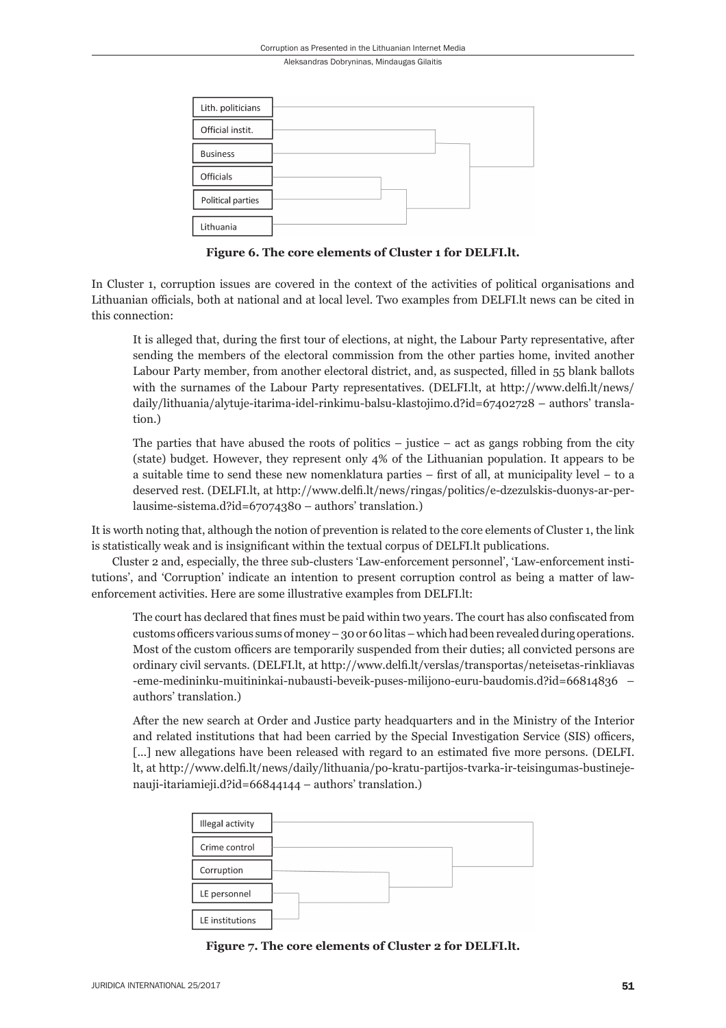| Lith. politicians |  |  |
|-------------------|--|--|
| Official instit.  |  |  |
| <b>Business</b>   |  |  |
| Officials         |  |  |
| Political parties |  |  |
| Lithuania         |  |  |

**Figure 6. The core elements of Cluster 1 for DELFI.lt.**

In Cluster 1, corruption issues are covered in the context of the activities of political organisations and Lithuanian officials, both at national and at local level. Two examples from DELFI. It news can be cited in this connection:

It is alleged that, during the first tour of elections, at night, the Labour Party representative, after sending the members of the electoral commission from the other parties home, invited another Labour Party member, from another electoral district, and, as suspected, filled in 55 blank ballots with the surnames of the Labour Party representatives. (DELFI. lt, at http://www.delfi. lt/news/ daily/lithuania/alytuje-itarima-idel-rinkimu-balsu-klastojimo.d?id=67402728 – authors' translation.)

The parties that have abused the roots of politics  $-$  justice  $-$  act as gangs robbing from the city (state) budget. However, they represent only 4% of the Lithuanian population. It appears to be a suitable time to send these new nomenklatura parties – first of all, at municipality level – to a deserved rest. (DELFI.lt, at http://www.delfi.lt/news/ringas/politics/e-dzezulskis-duonys-ar-perlausime-sistema.d?id=67074380 – authors' translation.)

It is worth noting that, although the notion of prevention is related to the core elements of Cluster 1, the link is statistically weak and is insignificant within the textual corpus of DELFI. It publications.

Cluster 2 and, especially, the three sub-clusters 'Law-enforcement personnel', 'Law-enforcement institutions', and 'Corruption' indicate an intention to present corruption control as being a matter of lawenforcement activities. Here are some illustrative examples from DELFI.lt:

The court has declared that fines must be paid within two years. The court has also confiscated from customs officers various sums of money – 30 or 60 litas – which had been revealed during operations. Most of the custom officers are temporarily suspended from their duties; all convicted persons are ordinary civil servants. (DELFI.lt, at http://www.delfi .lt/verslas/transportas/neteisetas-rinkliavas -eme-medininku-muitininkai-nubausti-beveik-puses-milijono-euru-baudomis.d?id=66814836 – authors' translation.)

After the new search at Order and Justice party headquarters and in the Ministry of the Interior and related institutions that had been carried by the Special Investigation Service (SIS) officers, [...] new allegations have been released with regard to an estimated five more persons. (DELFI. lt, at http://www.delfi .lt/news/daily/lithuania/po-kratu-partijos-tvarka-ir-teisingumas-bustinejenauji-itariamieji.d?id=66844144 – authors' translation.)

| Illegal activity |  |
|------------------|--|
| Crime control    |  |
| Corruption       |  |
| LE personnel     |  |
| LE institutions  |  |

**Figure 7. The core elements of Cluster 2 for DELFI.lt.**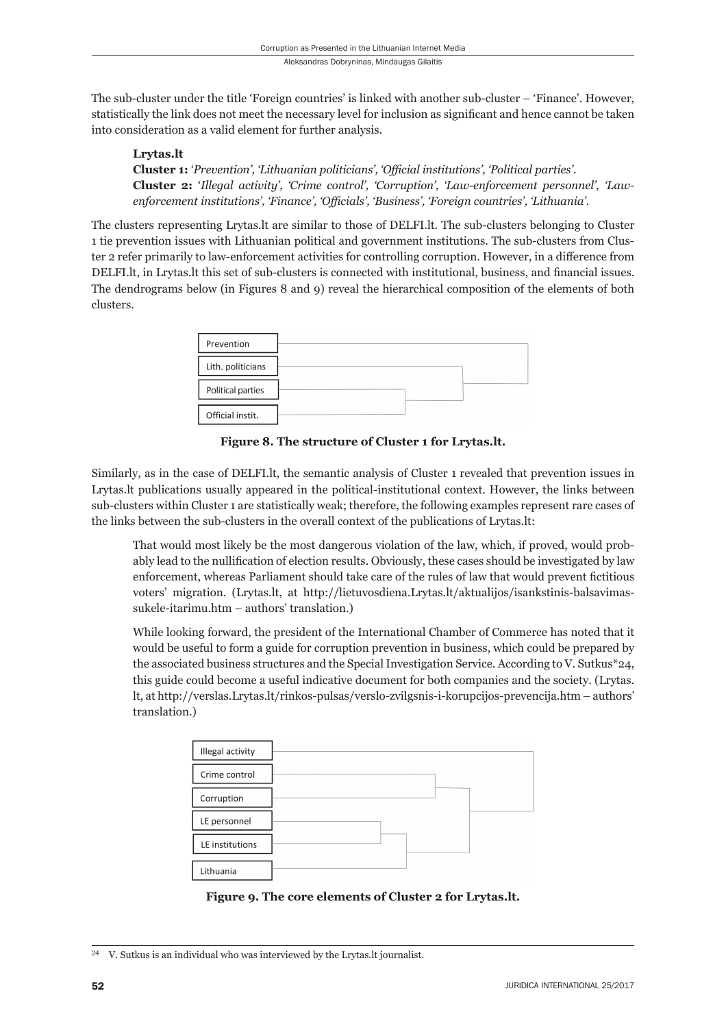The sub-cluster under the title 'Foreign countries' is linked with another sub-cluster – 'Finance'. However, statistically the link does not meet the necessary level for inclusion as significant and hence cannot be taken into consideration as a valid element for further analysis.

#### **Lrytas.lt**

**Cluster 1:** '*Prevention', 'Lithuanian politicians', 'Offi cial institutions', 'Political parties'.* **Cluster 2:** '*Illegal activity', 'Crime control', 'Corruption', 'Law-enforcement personnel', 'Lawenforcement institutions', 'Finance', 'Officials', 'Business', 'Foreign countries', 'Lithuania'.* 

The clusters representing Lrytas.lt are similar to those of DELFI.lt. The sub-clusters belonging to Cluster 1 tie prevention issues with Lithuanian political and government institutions. The sub-clusters from Cluster 2 refer primarily to law-enforcement activities for controlling corruption. However, in a difference from DELFI.lt, in Lrytas.lt this set of sub-clusters is connected with institutional, business, and financial issues. The dendrograms below (in Figures 8 and 9) reveal the hierarchical composition of the elements of both clusters.

| Prevention        |  |
|-------------------|--|
| Lith. politicians |  |
| Political parties |  |
| Official instit.  |  |

**Figure 8. The structure of Cluster 1 for Lrytas.lt.**

Similarly, as in the case of DELFI.lt, the semantic analysis of Cluster 1 revealed that prevention issues in Lrytas.lt publications usually appeared in the political-institutional context. However, the links between sub-clusters within Cluster 1 are statistically weak; therefore, the following examples represent rare cases of the links between the sub-clusters in the overall context of the publications of Lrytas.lt:

That would most likely be the most dangerous violation of the law, which, if proved, would probably lead to the nullification of election results. Obviously, these cases should be investigated by law enforcement, whereas Parliament should take care of the rules of law that would prevent fictitious voters' migration. (Lrytas.lt, at http://lietuvosdiena.Lrytas.lt/aktualijos/isankstinis-balsavimassukele-itarimu.htm – authors' translation.)

While looking forward, the president of the International Chamber of Commerce has noted that it would be useful to form a guide for corruption prevention in business, which could be prepared by the associated business structures and the Special Investigation Service. According to V. Sutkus\*24, this guide could become a useful indicative document for both companies and the society. (Lrytas. lt, at http://verslas.Lrytas.lt/rinkos-pulsas/verslo-zvilgsnis-i-korupcijos-prevencija.htm – authors' translation.)

| Illegal activity |  |
|------------------|--|
| Crime control    |  |
| Corruption       |  |
| LE personnel     |  |
| LE institutions  |  |
|                  |  |
| Lithuania        |  |

**Figure 9. The core elements of Cluster 2 for Lrytas.lt.**

<sup>&</sup>lt;sup>24</sup> V. Sutkus is an individual who was interviewed by the Lrytas.lt journalist.